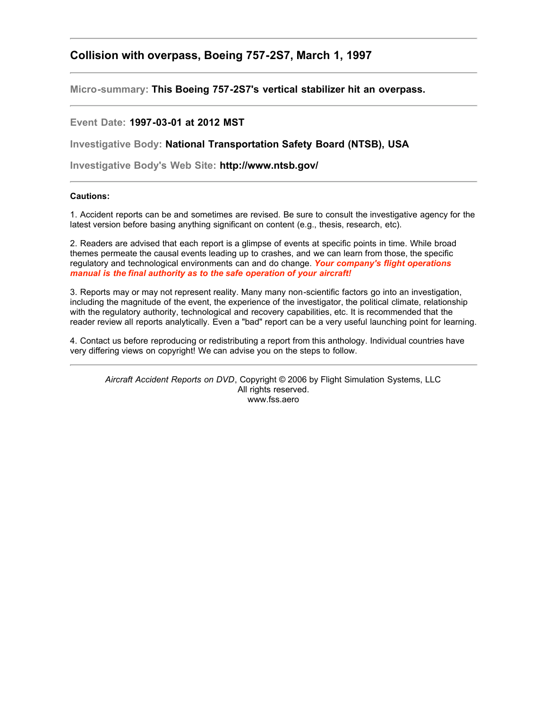## **Collision with overpass, Boeing 757-2S7, March 1, 1997**

**Micro-summary: This Boeing 757-2S7's vertical stabilizer hit an overpass.**

## **Event Date: 1997-03-01 at 2012 MST**

**Investigative Body: National Transportation Safety Board (NTSB), USA**

**Investigative Body's Web Site: http://www.ntsb.gov/**

## **Cautions:**

1. Accident reports can be and sometimes are revised. Be sure to consult the investigative agency for the latest version before basing anything significant on content (e.g., thesis, research, etc).

2. Readers are advised that each report is a glimpse of events at specific points in time. While broad themes permeate the causal events leading up to crashes, and we can learn from those, the specific regulatory and technological environments can and do change. *Your company's flight operations manual is the final authority as to the safe operation of your aircraft!*

3. Reports may or may not represent reality. Many many non-scientific factors go into an investigation, including the magnitude of the event, the experience of the investigator, the political climate, relationship with the regulatory authority, technological and recovery capabilities, etc. It is recommended that the reader review all reports analytically. Even a "bad" report can be a very useful launching point for learning.

4. Contact us before reproducing or redistributing a report from this anthology. Individual countries have very differing views on copyright! We can advise you on the steps to follow.

*Aircraft Accident Reports on DVD*, Copyright © 2006 by Flight Simulation Systems, LLC All rights reserved. www.fss.aero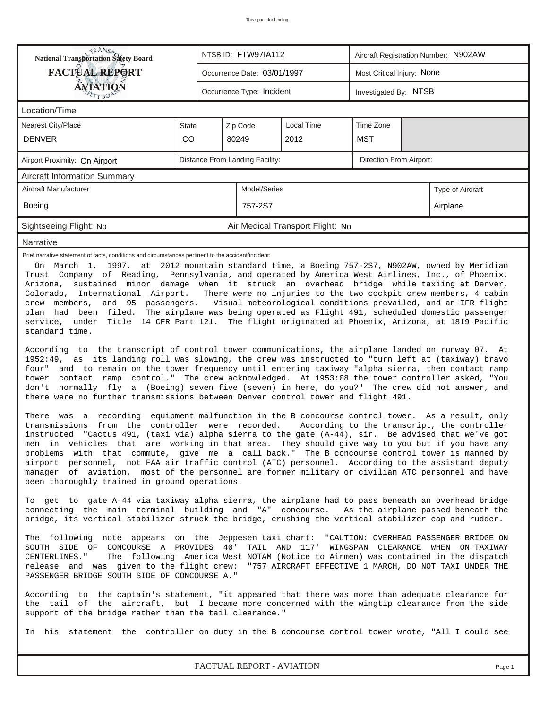| <b>National Transportation Safety Board</b>                                                                                                                                                                                                                                                                                                                                                                                                                                                                                                                                                                                                                                                                                                                                                                                                                                                                                                                                                                                                                                                                                                                                                                                                                                                                                                                                                                                                                                                                                                                                                                                                                                                                                                                                                                                                                                                                                                                                                                                                                                 |                                                            |          | NTSB ID: FTW97IA112         |                                  |                            | Aircraft Registration Number: N902AW |                  |  |  |  |
|-----------------------------------------------------------------------------------------------------------------------------------------------------------------------------------------------------------------------------------------------------------------------------------------------------------------------------------------------------------------------------------------------------------------------------------------------------------------------------------------------------------------------------------------------------------------------------------------------------------------------------------------------------------------------------------------------------------------------------------------------------------------------------------------------------------------------------------------------------------------------------------------------------------------------------------------------------------------------------------------------------------------------------------------------------------------------------------------------------------------------------------------------------------------------------------------------------------------------------------------------------------------------------------------------------------------------------------------------------------------------------------------------------------------------------------------------------------------------------------------------------------------------------------------------------------------------------------------------------------------------------------------------------------------------------------------------------------------------------------------------------------------------------------------------------------------------------------------------------------------------------------------------------------------------------------------------------------------------------------------------------------------------------------------------------------------------------|------------------------------------------------------------|----------|-----------------------------|----------------------------------|----------------------------|--------------------------------------|------------------|--|--|--|
| <b>FACTUAL REPORT</b>                                                                                                                                                                                                                                                                                                                                                                                                                                                                                                                                                                                                                                                                                                                                                                                                                                                                                                                                                                                                                                                                                                                                                                                                                                                                                                                                                                                                                                                                                                                                                                                                                                                                                                                                                                                                                                                                                                                                                                                                                                                       |                                                            |          | Occurrence Date: 03/01/1997 |                                  | Most Critical Injury: None |                                      |                  |  |  |  |
| AVIATION                                                                                                                                                                                                                                                                                                                                                                                                                                                                                                                                                                                                                                                                                                                                                                                                                                                                                                                                                                                                                                                                                                                                                                                                                                                                                                                                                                                                                                                                                                                                                                                                                                                                                                                                                                                                                                                                                                                                                                                                                                                                    |                                                            |          | Occurrence Type: Incident   |                                  |                            | Investigated By: NTSB                |                  |  |  |  |
| Location/Time                                                                                                                                                                                                                                                                                                                                                                                                                                                                                                                                                                                                                                                                                                                                                                                                                                                                                                                                                                                                                                                                                                                                                                                                                                                                                                                                                                                                                                                                                                                                                                                                                                                                                                                                                                                                                                                                                                                                                                                                                                                               |                                                            |          |                             |                                  |                            |                                      |                  |  |  |  |
| <b>Nearest City/Place</b>                                                                                                                                                                                                                                                                                                                                                                                                                                                                                                                                                                                                                                                                                                                                                                                                                                                                                                                                                                                                                                                                                                                                                                                                                                                                                                                                                                                                                                                                                                                                                                                                                                                                                                                                                                                                                                                                                                                                                                                                                                                   | <b>State</b>                                               | Zip Code |                             |                                  |                            |                                      |                  |  |  |  |
| <b>DENVER</b>                                                                                                                                                                                                                                                                                                                                                                                                                                                                                                                                                                                                                                                                                                                                                                                                                                                                                                                                                                                                                                                                                                                                                                                                                                                                                                                                                                                                                                                                                                                                                                                                                                                                                                                                                                                                                                                                                                                                                                                                                                                               | CO                                                         |          | 80249                       | 2012                             | <b>MST</b>                 |                                      |                  |  |  |  |
| Airport Proximity: On Airport                                                                                                                                                                                                                                                                                                                                                                                                                                                                                                                                                                                                                                                                                                                                                                                                                                                                                                                                                                                                                                                                                                                                                                                                                                                                                                                                                                                                                                                                                                                                                                                                                                                                                                                                                                                                                                                                                                                                                                                                                                               | Distance From Landing Facility:<br>Direction From Airport: |          |                             |                                  |                            |                                      |                  |  |  |  |
| <b>Aircraft Information Summary</b>                                                                                                                                                                                                                                                                                                                                                                                                                                                                                                                                                                                                                                                                                                                                                                                                                                                                                                                                                                                                                                                                                                                                                                                                                                                                                                                                                                                                                                                                                                                                                                                                                                                                                                                                                                                                                                                                                                                                                                                                                                         |                                                            |          |                             |                                  |                            |                                      |                  |  |  |  |
| Aircraft Manufacturer                                                                                                                                                                                                                                                                                                                                                                                                                                                                                                                                                                                                                                                                                                                                                                                                                                                                                                                                                                                                                                                                                                                                                                                                                                                                                                                                                                                                                                                                                                                                                                                                                                                                                                                                                                                                                                                                                                                                                                                                                                                       |                                                            |          | Model/Series                |                                  |                            |                                      | Type of Aircraft |  |  |  |
| Boeing                                                                                                                                                                                                                                                                                                                                                                                                                                                                                                                                                                                                                                                                                                                                                                                                                                                                                                                                                                                                                                                                                                                                                                                                                                                                                                                                                                                                                                                                                                                                                                                                                                                                                                                                                                                                                                                                                                                                                                                                                                                                      |                                                            |          | 757-2S7                     |                                  |                            | Airplane                             |                  |  |  |  |
| Sightseeing Flight: No                                                                                                                                                                                                                                                                                                                                                                                                                                                                                                                                                                                                                                                                                                                                                                                                                                                                                                                                                                                                                                                                                                                                                                                                                                                                                                                                                                                                                                                                                                                                                                                                                                                                                                                                                                                                                                                                                                                                                                                                                                                      |                                                            |          |                             | Air Medical Transport Flight: No |                            |                                      |                  |  |  |  |
| Narrative                                                                                                                                                                                                                                                                                                                                                                                                                                                                                                                                                                                                                                                                                                                                                                                                                                                                                                                                                                                                                                                                                                                                                                                                                                                                                                                                                                                                                                                                                                                                                                                                                                                                                                                                                                                                                                                                                                                                                                                                                                                                   |                                                            |          |                             |                                  |                            |                                      |                  |  |  |  |
| On March 1, 1997, at 2012 mountain standard time, a Boeing 757-2S7, N902AW, owned by Meridian<br>Trust Company of Reading, Pennsylvania, and operated by America West Airlines, Inc., of Phoenix,<br>Arizona, sustained minor damage when it struck an overhead bridge while taxiing at Denver,<br>Colorado, International Airport. There were no injuries to the two cockpit crew members, 4 cabin<br>crew members,<br>and 95 passengers. Visual meteorological conditions prevailed, and an IFR flight<br>plan had been filed. The airplane was being operated as Flight 491, scheduled domestic passenger<br>service, under Title 14 CFR Part 121. The flight originated at Phoenix, Arizona, at 1819 Pacific<br>standard time.<br>According to the transcript of control tower communications, the airplane landed on runway 07. At<br>1952:49, as its landing roll was slowing, the crew was instructed to "turn left at (taxiway) bravo<br>and to remain on the tower frequency until entering taxiway "alpha sierra, then contact ramp<br>four"<br>contact ramp control." The crew acknowledged. At 1953:08 the tower controller asked, "You<br>tower<br>normally fly a (Boeing) seven five (seven) in here, do you?" The crew did not answer, and<br>don't<br>there were no further transmissions between Denver control tower and flight 491.<br>There was a recording equipment malfunction in the B concourse control tower. As a result, only<br>transmissions from the controller were recorded. According to the transcript, the controller<br>instructed "Cactus 491, (taxi via) alpha sierra to the gate (A-44), sir. Be advised that we've got<br>men in vehicles that are working in that area. They should give way to you but if you have any<br>problems with that commute, give me a call back." The B concourse control tower is manned by<br>airport personnel, not FAA air traffic control (ATC) personnel. According to the assistant deputy<br>manager of aviation, most of the personnel are former military or civilian ATC personnel and have |                                                            |          |                             |                                  |                            |                                      |                  |  |  |  |
| To get to gate A-44 via taxiway alpha sierra, the airplane had to pass beneath an overhead bridge<br>connecting the main terminal building and "A" concourse. As the airplane passed beneath the<br>bridge, its vertical stabilizer struck the bridge, crushing the vertical stabilizer cap and rudder.                                                                                                                                                                                                                                                                                                                                                                                                                                                                                                                                                                                                                                                                                                                                                                                                                                                                                                                                                                                                                                                                                                                                                                                                                                                                                                                                                                                                                                                                                                                                                                                                                                                                                                                                                                     |                                                            |          |                             |                                  |                            |                                      |                  |  |  |  |
| The following note appears on the Jeppesen taxi chart: "CAUTION: OVERHEAD PASSENGER BRIDGE ON<br>SOUTH SIDE OF CONCOURSE A PROVIDES 40' TAIL AND 117' WINGSPAN CLEARANCE WHEN ON TAXIWAY<br>The following America West NOTAM (Notice to Airmen) was contained in the dispatch<br>CENTERLINES."<br>release and was given to the flight crew: "757 AIRCRAFT EFFECTIVE 1 MARCH, DO NOT TAXI UNDER THE<br>PASSENGER BRIDGE SOUTH SIDE OF CONCOURSE A. "                                                                                                                                                                                                                                                                                                                                                                                                                                                                                                                                                                                                                                                                                                                                                                                                                                                                                                                                                                                                                                                                                                                                                                                                                                                                                                                                                                                                                                                                                                                                                                                                                         |                                                            |          |                             |                                  |                            |                                      |                  |  |  |  |
| According to the captain's statement, "it appeared that there was more than adequate clearance for<br>the tail of the aircraft, but I became more concerned with the wingtip clearance from the side<br>support of the bridge rather than the tail clearance."                                                                                                                                                                                                                                                                                                                                                                                                                                                                                                                                                                                                                                                                                                                                                                                                                                                                                                                                                                                                                                                                                                                                                                                                                                                                                                                                                                                                                                                                                                                                                                                                                                                                                                                                                                                                              |                                                            |          |                             |                                  |                            |                                      |                  |  |  |  |
| In his statement the controller on duty in the B concourse control tower wrote, "All I could see                                                                                                                                                                                                                                                                                                                                                                                                                                                                                                                                                                                                                                                                                                                                                                                                                                                                                                                                                                                                                                                                                                                                                                                                                                                                                                                                                                                                                                                                                                                                                                                                                                                                                                                                                                                                                                                                                                                                                                            |                                                            |          |                             |                                  |                            |                                      |                  |  |  |  |
| FACTUAL REPORT - AVIATION<br>Page 1                                                                                                                                                                                                                                                                                                                                                                                                                                                                                                                                                                                                                                                                                                                                                                                                                                                                                                                                                                                                                                                                                                                                                                                                                                                                                                                                                                                                                                                                                                                                                                                                                                                                                                                                                                                                                                                                                                                                                                                                                                         |                                                            |          |                             |                                  |                            |                                      |                  |  |  |  |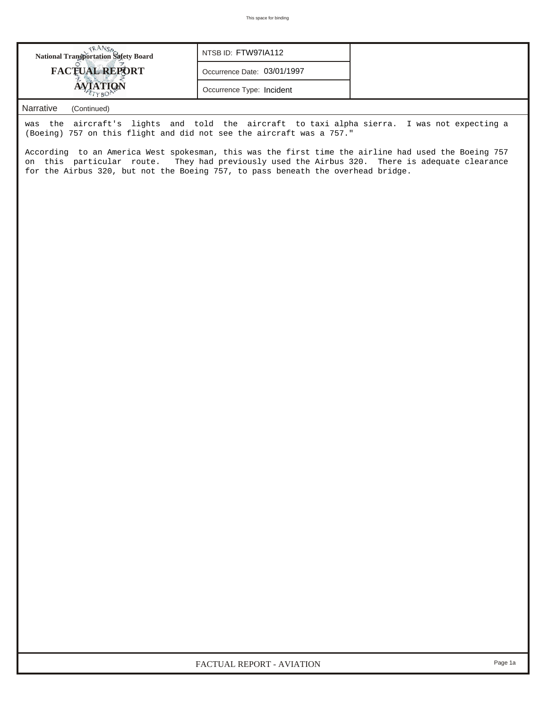| <b>National Transportation Safety Board</b>                                                                                                                         | NTSB ID: FTW97IA112         |  |  |  |  |  |  |
|---------------------------------------------------------------------------------------------------------------------------------------------------------------------|-----------------------------|--|--|--|--|--|--|
| <b>FACTUAL REPORT</b>                                                                                                                                               | Occurrence Date: 03/01/1997 |  |  |  |  |  |  |
| <b>AVIATION</b>                                                                                                                                                     | Occurrence Type: Incident   |  |  |  |  |  |  |
| $\mathbf{A} \mathbf{I}$ and $\mathbf{A} \mathbf{I}$ and $\mathbf{A} \mathbf{I}$ and $\mathbf{A} \mathbf{I}$ and $\mathbf{A} \mathbf{I}$ and $\mathbf{A} \mathbf{I}$ |                             |  |  |  |  |  |  |

## *Narrative (Continued)*

was the aircraft's lights and told the aircraft to taxi alpha sierra. I was not expecting a (Boeing) 757 on this flight and did not see the aircraft was a 757."

According to an America West spokesman, this was the first time the airline had used the Boeing 757 on this particular route. They had previously used the Airbus 320. There is adequate clearance for the Airbus 320, but not the Boeing 757, to pass beneath the overhead bridge.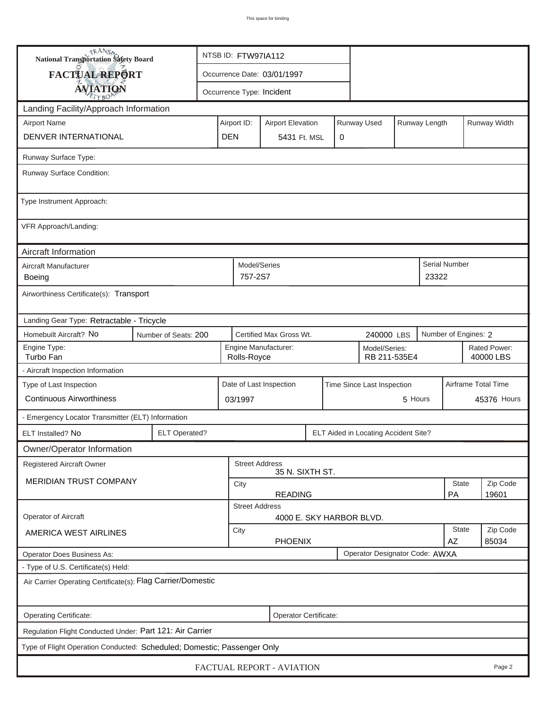| <b>National Transportation Safety Board</b>                             |                       | NTSB ID: FTW97IA112                                                     |                                                                      |                                          |   |  |                                      |  |                      |                           |        |  |
|-------------------------------------------------------------------------|-----------------------|-------------------------------------------------------------------------|----------------------------------------------------------------------|------------------------------------------|---|--|--------------------------------------|--|----------------------|---------------------------|--------|--|
| FACTUAL REPORT                                                          |                       | Occurrence Date: 03/01/1997                                             |                                                                      |                                          |   |  |                                      |  |                      |                           |        |  |
| <b>AVIATION</b>                                                         |                       |                                                                         |                                                                      | Occurrence Type: Incident                |   |  |                                      |  |                      |                           |        |  |
| Landing Facility/Approach Information                                   |                       |                                                                         |                                                                      |                                          |   |  |                                      |  |                      |                           |        |  |
| <b>Airport Name</b>                                                     |                       | Runway Used<br>Airport ID:<br>Runway Length<br><b>Airport Elevation</b> |                                                                      |                                          |   |  |                                      |  |                      | Runway Width              |        |  |
| DENVER INTERNATIONAL                                                    | <b>DEN</b>            |                                                                         | 5431 Ft. MSL                                                         |                                          | 0 |  |                                      |  |                      |                           |        |  |
| Runway Surface Type:                                                    |                       |                                                                         |                                                                      |                                          |   |  |                                      |  |                      |                           |        |  |
| Runway Surface Condition:                                               |                       |                                                                         |                                                                      |                                          |   |  |                                      |  |                      |                           |        |  |
| Type Instrument Approach:                                               |                       |                                                                         |                                                                      |                                          |   |  |                                      |  |                      |                           |        |  |
| VFR Approach/Landing:                                                   |                       |                                                                         |                                                                      |                                          |   |  |                                      |  |                      |                           |        |  |
| Aircraft Information                                                    |                       |                                                                         |                                                                      |                                          |   |  |                                      |  |                      |                           |        |  |
| Aircraft Manufacturer<br>Boeing                                         |                       |                                                                         | Model/Series<br>757-2S7                                              |                                          |   |  |                                      |  | 23322                | Serial Number             |        |  |
| Airworthiness Certificate(s): Transport                                 |                       |                                                                         |                                                                      |                                          |   |  |                                      |  |                      |                           |        |  |
| Landing Gear Type: Retractable - Tricycle                               |                       |                                                                         |                                                                      |                                          |   |  |                                      |  |                      |                           |        |  |
| Homebuilt Aircraft? No<br>Number of Seats: 200                          |                       |                                                                         |                                                                      | Certified Max Gross Wt.                  |   |  | 240000 LBS                           |  | Number of Engines: 2 |                           |        |  |
| Engine Type:<br>Turbo Fan                                               |                       |                                                                         | Engine Manufacturer:<br>Model/Series:<br>RB 211-535E4<br>Rolls-Royce |                                          |   |  |                                      |  |                      | Rated Power:<br>40000 LBS |        |  |
| - Aircraft Inspection Information                                       |                       |                                                                         |                                                                      |                                          |   |  |                                      |  |                      |                           |        |  |
| Type of Last Inspection                                                 |                       | Date of Last Inspection<br>Time Since Last Inspection                   |                                                                      |                                          |   |  |                                      |  | Airframe Total Time  |                           |        |  |
| <b>Continuous Airworthiness</b>                                         |                       |                                                                         | 5 Hours<br>03/1997                                                   |                                          |   |  |                                      |  | 45376 Hours          |                           |        |  |
| - Emergency Locator Transmitter (ELT) Information                       |                       |                                                                         |                                                                      |                                          |   |  |                                      |  |                      |                           |        |  |
| ELT Installed? No                                                       | <b>ELT Operated?</b>  |                                                                         |                                                                      |                                          |   |  | ELT Aided in Locating Accident Site? |  |                      |                           |        |  |
| Owner/Operator Information                                              |                       |                                                                         |                                                                      |                                          |   |  |                                      |  |                      |                           |        |  |
| <b>Registered Aircraft Owner</b>                                        |                       |                                                                         |                                                                      | <b>Street Address</b><br>35 N. SIXTH ST. |   |  |                                      |  |                      |                           |        |  |
| <b>MERIDIAN TRUST COMPANY</b>                                           |                       | City<br><b>READING</b>                                                  |                                                                      |                                          |   |  |                                      |  | <b>State</b><br>PA   | Zip Code<br>19601         |        |  |
|                                                                         |                       |                                                                         | <b>Street Address</b>                                                |                                          |   |  |                                      |  |                      |                           |        |  |
| Operator of Aircraft                                                    |                       |                                                                         |                                                                      | 4000 E. SKY HARBOR BLVD.                 |   |  |                                      |  |                      |                           |        |  |
| AMERICA WEST AIRLINES                                                   |                       | <b>State</b><br>City<br><b>PHOENIX</b><br>AZ                            |                                                                      |                                          |   |  |                                      |  | Zip Code<br>85034    |                           |        |  |
| <b>Operator Does Business As:</b>                                       |                       |                                                                         |                                                                      |                                          |   |  | Operator Designator Code: AWXA       |  |                      |                           |        |  |
| - Type of U.S. Certificate(s) Held:                                     |                       |                                                                         |                                                                      |                                          |   |  |                                      |  |                      |                           |        |  |
| Air Carrier Operating Certificate(s): Flag Carrier/Domestic             |                       |                                                                         |                                                                      |                                          |   |  |                                      |  |                      |                           |        |  |
| Operating Certificate:                                                  | Operator Certificate: |                                                                         |                                                                      |                                          |   |  |                                      |  |                      |                           |        |  |
| Regulation Flight Conducted Under: Part 121: Air Carrier                |                       |                                                                         |                                                                      |                                          |   |  |                                      |  |                      |                           |        |  |
| Type of Flight Operation Conducted: Scheduled; Domestic; Passenger Only |                       |                                                                         |                                                                      |                                          |   |  |                                      |  |                      |                           |        |  |
|                                                                         |                       |                                                                         |                                                                      | FACTUAL REPORT - AVIATION                |   |  |                                      |  |                      |                           | Page 2 |  |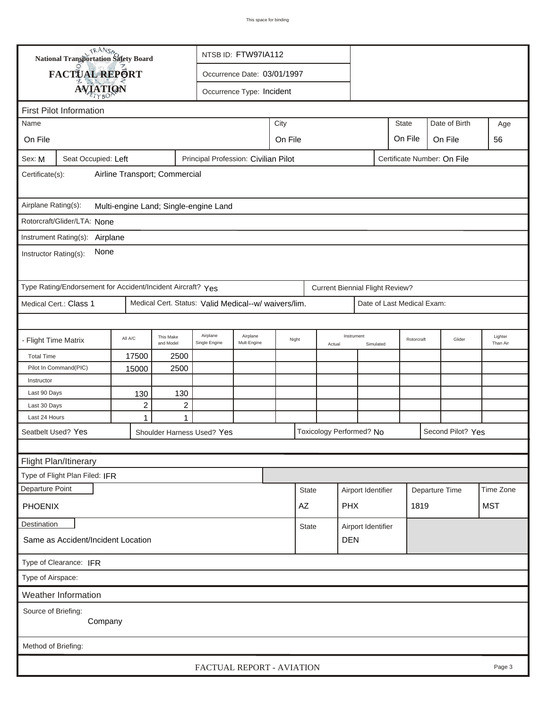| <b>National Transportation Safety Board</b>                                                          |                                                             |                              |                                  |                                                      | NTSB ID: FTW97IA112                        |      |                                    |            |                                        |                    |                            |                |                     |            |
|------------------------------------------------------------------------------------------------------|-------------------------------------------------------------|------------------------------|----------------------------------|------------------------------------------------------|--------------------------------------------|------|------------------------------------|------------|----------------------------------------|--------------------|----------------------------|----------------|---------------------|------------|
|                                                                                                      | FACTUAL REPORT<br>Occurrence Date: 03/01/1997               |                              |                                  |                                                      |                                            |      |                                    |            |                                        |                    |                            |                |                     |            |
|                                                                                                      | <b>AVIATION</b><br>Occurrence Type: Incident                |                              |                                  |                                                      |                                            |      |                                    |            |                                        |                    |                            |                |                     |            |
| <b>First Pilot Information</b>                                                                       |                                                             |                              |                                  |                                                      |                                            |      |                                    |            |                                        |                    |                            |                |                     |            |
| Name                                                                                                 |                                                             |                              |                                  |                                                      |                                            | City |                                    |            |                                        |                    | <b>State</b>               |                | Date of Birth       | Age        |
|                                                                                                      |                                                             |                              |                                  |                                                      |                                            |      |                                    |            |                                        |                    |                            |                |                     |            |
| On File                                                                                              |                                                             |                              |                                  |                                                      | On File<br>On File<br>On File              |      |                                    |            |                                        |                    |                            |                |                     | 56         |
| Sex: M<br>Seat Occupied: Left<br>Principal Profession: Civilian Pilot<br>Certificate Number: On File |                                                             |                              |                                  |                                                      |                                            |      |                                    |            |                                        |                    |                            |                |                     |            |
| Airline Transport; Commercial<br>Certificate(s):                                                     |                                                             |                              |                                  |                                                      |                                            |      |                                    |            |                                        |                    |                            |                |                     |            |
| Airplane Rating(s):<br>Multi-engine Land; Single-engine Land                                         |                                                             |                              |                                  |                                                      |                                            |      |                                    |            |                                        |                    |                            |                |                     |            |
|                                                                                                      | Rotorcraft/Glider/LTA: None                                 |                              |                                  |                                                      |                                            |      |                                    |            |                                        |                    |                            |                |                     |            |
|                                                                                                      | Instrument Rating(s):<br>Airplane                           |                              |                                  |                                                      |                                            |      |                                    |            |                                        |                    |                            |                |                     |            |
| None<br>Instructor Rating(s):                                                                        |                                                             |                              |                                  |                                                      |                                            |      |                                    |            |                                        |                    |                            |                |                     |            |
|                                                                                                      | Type Rating/Endorsement for Accident/Incident Aircraft? Yes |                              |                                  |                                                      |                                            |      |                                    |            | <b>Current Biennial Flight Review?</b> |                    |                            |                |                     |            |
|                                                                                                      | Medical Cert.: Class 1                                      |                              |                                  | Medical Cert. Status: Valid Medical--w/ waivers/lim. |                                            |      |                                    |            |                                        |                    | Date of Last Medical Exam: |                |                     |            |
|                                                                                                      |                                                             |                              |                                  |                                                      |                                            |      |                                    |            |                                        |                    |                            |                |                     |            |
| - Flight Time Matrix                                                                                 |                                                             | All A/C                      | This Make<br>and Model           | Airplane<br>Single Engine                            | Airplane<br>Night<br>Mult-Engine<br>Actual |      |                                    | Instrument | Simulated                              | Rotorcraft         |                            | Glider         | Lighter<br>Than Air |            |
| <b>Total Time</b>                                                                                    |                                                             | 17500                        | 2500                             |                                                      |                                            |      |                                    |            |                                        |                    |                            |                |                     |            |
|                                                                                                      | Pilot In Command(PIC)                                       | 15000                        | 2500                             |                                                      |                                            |      |                                    |            |                                        |                    |                            |                |                     |            |
| Instructor                                                                                           |                                                             |                              |                                  |                                                      |                                            |      |                                    |            |                                        |                    |                            |                |                     |            |
| Last 90 Days                                                                                         |                                                             | 130                          | 130                              |                                                      |                                            |      |                                    |            |                                        |                    |                            |                |                     |            |
| Last 30 Days<br>Last 24 Hours                                                                        |                                                             | $\overline{\mathbf{c}}$<br>1 | $\boldsymbol{2}$<br>$\mathbf{1}$ |                                                      |                                            |      |                                    |            |                                        |                    |                            |                |                     |            |
|                                                                                                      | Seatbelt Used? Yes                                          |                              |                                  | Shoulder Harness Used? Yes                           |                                            |      |                                    |            | Toxicology Performed? No               |                    |                            |                | Second Pilot? Yes   |            |
|                                                                                                      |                                                             |                              |                                  |                                                      |                                            |      |                                    |            |                                        |                    |                            |                |                     |            |
|                                                                                                      |                                                             |                              |                                  |                                                      |                                            |      |                                    |            |                                        |                    |                            |                |                     |            |
|                                                                                                      | Flight Plan/Itinerary                                       |                              |                                  |                                                      |                                            |      |                                    |            |                                        |                    |                            |                |                     |            |
| Departure Point                                                                                      | Type of Flight Plan Filed: IFR                              |                              |                                  |                                                      |                                            |      |                                    |            |                                        |                    |                            |                |                     |            |
|                                                                                                      |                                                             |                              |                                  |                                                      |                                            |      | <b>State</b>                       |            |                                        | Airport Identifier |                            | Departure Time |                     | Time Zone  |
| <b>PHOENIX</b>                                                                                       |                                                             |                              |                                  |                                                      |                                            |      | AZ                                 |            | <b>PHX</b>                             |                    |                            | 1819           |                     | <b>MST</b> |
| Destination                                                                                          |                                                             |                              |                                  |                                                      |                                            |      | Airport Identifier<br><b>State</b> |            |                                        |                    |                            |                |                     |            |
| Same as Accident/Incident Location                                                                   |                                                             |                              |                                  |                                                      |                                            |      |                                    |            | <b>DEN</b>                             |                    |                            |                |                     |            |
| Type of Clearance: IFR                                                                               |                                                             |                              |                                  |                                                      |                                            |      |                                    |            |                                        |                    |                            |                |                     |            |
| Type of Airspace:                                                                                    |                                                             |                              |                                  |                                                      |                                            |      |                                    |            |                                        |                    |                            |                |                     |            |
|                                                                                                      | Weather Information                                         |                              |                                  |                                                      |                                            |      |                                    |            |                                        |                    |                            |                |                     |            |
| Source of Briefing:<br>Company                                                                       |                                                             |                              |                                  |                                                      |                                            |      |                                    |            |                                        |                    |                            |                |                     |            |
| Method of Briefing:                                                                                  |                                                             |                              |                                  |                                                      |                                            |      |                                    |            |                                        |                    |                            |                |                     |            |
|                                                                                                      |                                                             |                              |                                  | FACTUAL REPORT - AVIATION                            |                                            |      |                                    |            |                                        |                    |                            |                |                     | Page 3     |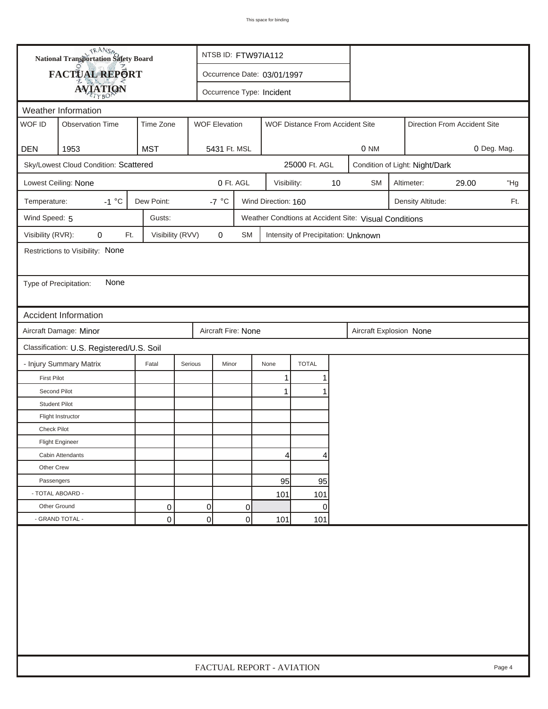|                        | <b>National Transportation Safety Board</b> |                             |                      | NTSB ID: FTW97IA112       |                     |                                     |    |                                                       |  |                                |       |        |
|------------------------|---------------------------------------------|-----------------------------|----------------------|---------------------------|---------------------|-------------------------------------|----|-------------------------------------------------------|--|--------------------------------|-------|--------|
|                        |                                             | Occurrence Date: 03/01/1997 |                      |                           |                     |                                     |    |                                                       |  |                                |       |        |
|                        | FACTUAL REPORT<br><b>AVIATION</b>           |                             |                      | Occurrence Type: Incident |                     |                                     |    |                                                       |  |                                |       |        |
| Weather Information    |                                             |                             |                      |                           |                     |                                     |    |                                                       |  |                                |       |        |
| WOF ID                 | <b>Observation Time</b>                     | Time Zone                   | <b>WOF Elevation</b> |                           |                     | WOF Distance From Accident Site     |    | Direction From Accident Site                          |  |                                |       |        |
| <b>DEN</b>             | 1953                                        | <b>MST</b>                  |                      | 5431 Ft. MSL              |                     |                                     |    | 0 NM<br>0 Deg. Mag.                                   |  |                                |       |        |
|                        | Sky/Lowest Cloud Condition: Scattered       |                             |                      |                           |                     | 25000 Ft. AGL                       |    |                                                       |  | Condition of Light: Night/Dark |       |        |
|                        | Lowest Ceiling: None                        |                             |                      | 0 Ft. AGL                 | Visibility:         |                                     | 10 | <b>SM</b>                                             |  | Altimeter:                     | 29.00 | "Hg    |
| Temperature:           | $-1 °C$                                     | Dew Point:                  | -7 $\degree$ C       |                           | Wind Direction: 160 |                                     |    |                                                       |  | Density Altitude:              |       | Ft.    |
| Wind Speed: 5          |                                             | Gusts:                      |                      |                           |                     |                                     |    | Weather Condtions at Accident Site: Visual Conditions |  |                                |       |        |
| Visibility (RVR):      | 0<br>Ft.                                    | Visibility (RVV)            | 0                    | <b>SM</b>                 |                     | Intensity of Precipitation: Unknown |    |                                                       |  |                                |       |        |
|                        | Restrictions to Visibility: None            |                             |                      |                           |                     |                                     |    |                                                       |  |                                |       |        |
|                        |                                             |                             |                      |                           |                     |                                     |    |                                                       |  |                                |       |        |
| Type of Precipitation: | None                                        |                             |                      |                           |                     |                                     |    |                                                       |  |                                |       |        |
|                        |                                             |                             |                      |                           |                     |                                     |    |                                                       |  |                                |       |        |
|                        | Accident Information                        |                             |                      |                           |                     |                                     |    |                                                       |  |                                |       |        |
|                        | Aircraft Damage: Minor                      |                             |                      | Aircraft Fire: None       |                     |                                     |    | Aircraft Explosion None                               |  |                                |       |        |
|                        | Classification: U.S. Registered/U.S. Soil   |                             |                      |                           |                     |                                     |    |                                                       |  |                                |       |        |
|                        | - Injury Summary Matrix                     | Fatal                       | Serious              | Minor                     | None                | <b>TOTAL</b>                        |    |                                                       |  |                                |       |        |
| <b>First Pilot</b>     |                                             |                             |                      |                           | 1                   |                                     |    |                                                       |  |                                |       |        |
| Second Pilot           |                                             |                             |                      |                           | 1                   |                                     |    |                                                       |  |                                |       |        |
| <b>Student Pilot</b>   |                                             |                             |                      |                           |                     |                                     |    |                                                       |  |                                |       |        |
|                        | Flight Instructor                           |                             |                      |                           |                     |                                     |    |                                                       |  |                                |       |        |
| <b>Check Pilot</b>     |                                             |                             |                      |                           |                     |                                     |    |                                                       |  |                                |       |        |
|                        | <b>Flight Engineer</b>                      |                             |                      |                           |                     |                                     |    |                                                       |  |                                |       |        |
|                        | Cabin Attendants                            |                             |                      |                           | 4                   | 4                                   |    |                                                       |  |                                |       |        |
| Other Crew             |                                             |                             |                      |                           |                     |                                     |    |                                                       |  |                                |       |        |
| Passengers             |                                             |                             |                      |                           | 95                  | 95                                  |    |                                                       |  |                                |       |        |
| - TOTAL ABOARD -       |                                             |                             |                      |                           | 101                 | 101                                 |    |                                                       |  |                                |       |        |
| Other Ground           |                                             | 0                           | $\overline{0}$       | 0                         |                     | 0                                   |    |                                                       |  |                                |       |        |
|                        | - GRAND TOTAL -                             | 0                           | 0                    | 0                         | 101                 | 101                                 |    |                                                       |  |                                |       |        |
|                        |                                             |                             |                      |                           |                     |                                     |    |                                                       |  |                                |       |        |
|                        |                                             |                             |                      | FACTUAL REPORT - AVIATION |                     |                                     |    |                                                       |  |                                |       | Page 4 |